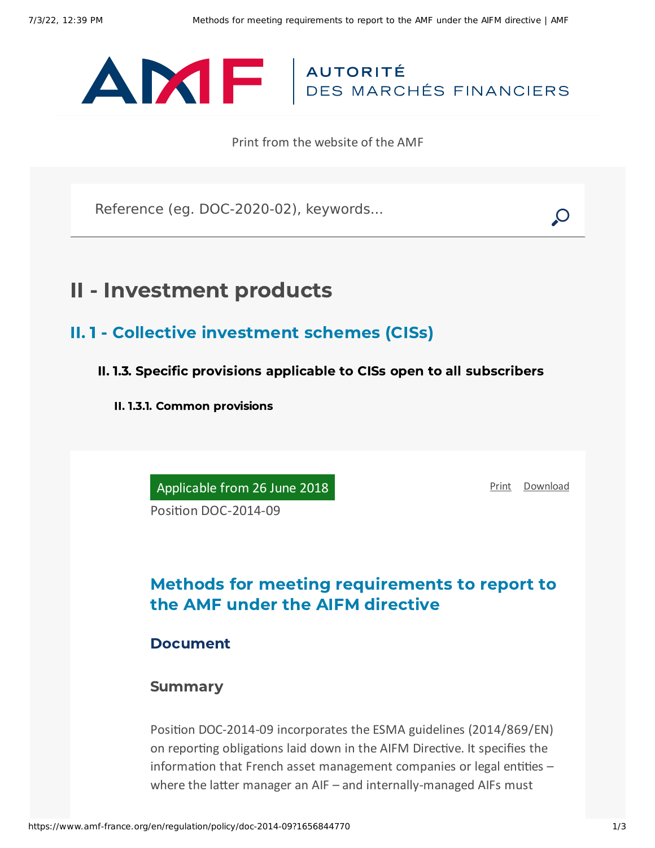

Print from the website of the AMF

Reference (eg. DOC-2020-02), keywords...

# II - Investment products

- II. 1 Collective investment schemes (CISs)
	- II. 1.3. Specific provisions applicable to CISs open to all subscribers
		- II. 1.3.1. Common provisions

Applicable from 26 June 2018

[Print](javascript:window.print()) [Download](https://www.amf-france.org/sites/default/files/pdf/62894/en/Methods_for_meeting_requirements_to_report_to_the_AMF_under_the_AIFM_directive.pdf?1656844771)

Position DOC-2014-09

## Methods for meeting requirements to report to the AMF under the AIFM directive

### Document

#### Summary

Position DOC-2014-09 incorporates the ESMA guidelines (2014/869/EN) on reporting obligations laid down in the AIFM Directive. It specifies the information that French asset management companies or legal entities – where the latter manager an AIF – and internally-managed AIFs must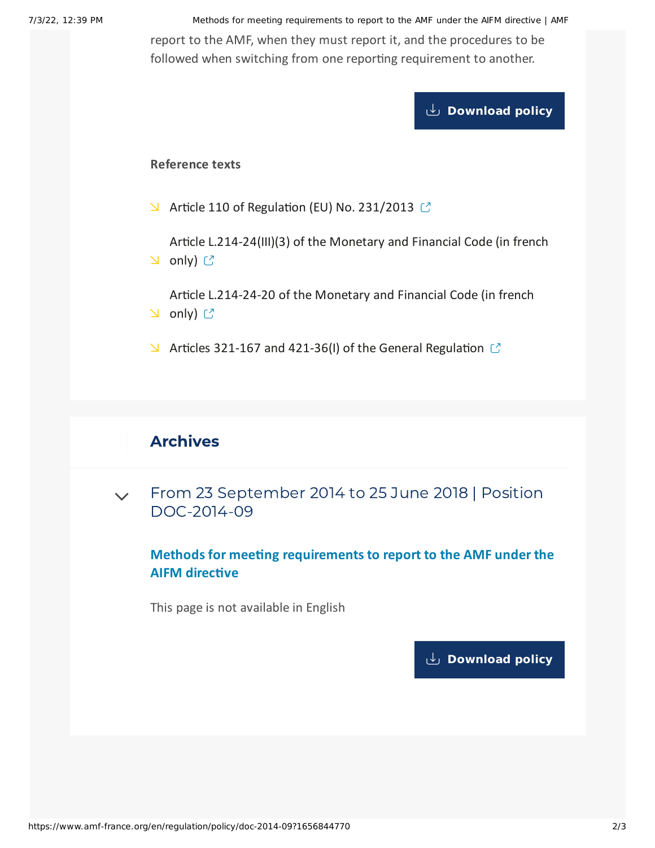7/3/22, 12:39 PM Methods for meeting requirements to report to the AMF under the AIFM directive | AMF report to the AMF, when they must report it, and the procedures to be followed when switching from one reporting requirement to another.

**[Download](https://www.amf-france.org/sites/default/files/private/2020-11/20180626-methods-for-meeting-requirements-to-report-to-the-amf-under-the-aifm-directive-.pdf) policy**

#### **Reference texts**

 $\blacktriangleright$  Article 110 of [Regulation](https://eur-lex.europa.eu/legal-content/EN/TXT/PDF/?uri=CELEX:32013R0231&from=EN) (EU) No. 231/2013  $\heartsuit$ 

Article [L.214-24\(III\)\(3\)](https://www.legifrance.gouv.fr/affichCodeArticle.do?idArticle=LEGIARTI000027786948&cidTexte=LEGITEXT000006072026&dateTexte=20140922&oldAction=rechCodeArticle&fastReqId=1835757192&nbResultRech=1) of the Monetary and Financial Code (in french **∆** only) ぴ

Article [L.214-24-20](https://www.legifrance.gouv.fr/affichCodeArticle.do?idArticle=LEGIARTI000027764251&cidTexte=LEGITEXT000006072026&dateTexte=20140922&oldAction=rechCodeArticle&fastReqId=1520157032&nbResultRech=1) of the Monetary and Financial Code (in french **⊇** only) <mark>ピ</mark>

 $\blacktriangleright$  Articles 321-167 and 421-36(I) of the General [Regulation](https://www.amf-france.org/eli/fr/aai/amf/rg/20180103/notes/en.pdf)  $\blacktriangleright$ 

### Archives

From 23 September 2014 to 25 June 2018 | Position [DOC-2014-09](#page-1-0)  $\vee$ 

**Methods for meeting requirements to report to the AMF under the AIFM directive**

<span id="page-1-0"></span>This page is not available in English

**[Download](https://www.amf-france.org/sites/default/files/pdf/62894/en/Methods_for_meeting_requirements_to_report_to_the_AMF_under_the_AIFM_directive.pdf?1656844772?1656844772) policy**